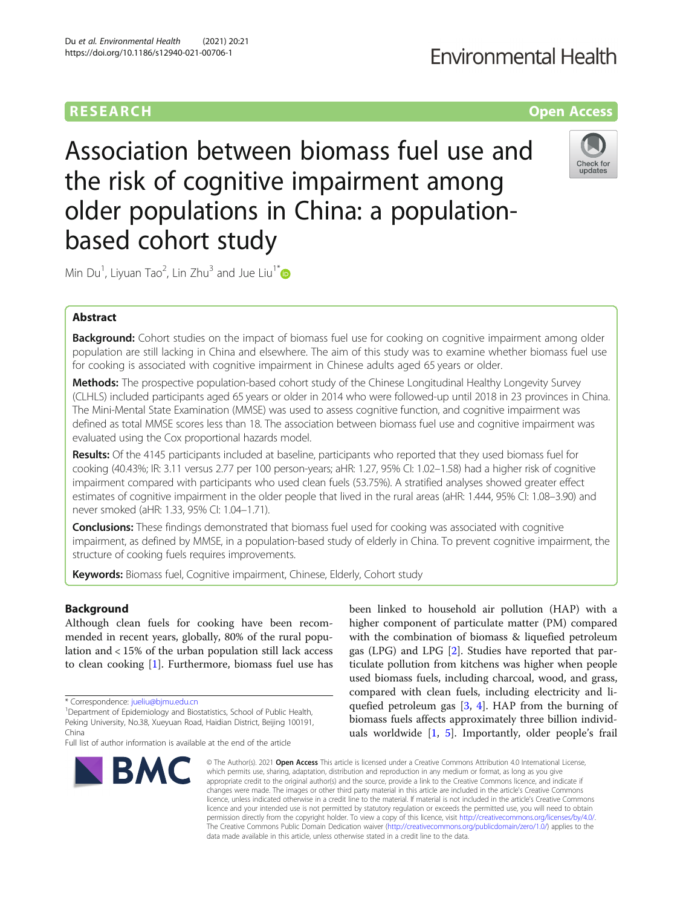## **RESEARCH CHE Open Access**

# **Environmental Health**

Association between biomass fuel use and the risk of cognitive impairment among older populations in China: a populationbased cohort study



Min Du<sup>1</sup>, Liyuan Tao<sup>2</sup>, Lin Zhu<sup>3</sup> and Jue Liu<sup>1\*</sup>

### Abstract

**Background:** Cohort studies on the impact of biomass fuel use for cooking on cognitive impairment among older population are still lacking in China and elsewhere. The aim of this study was to examine whether biomass fuel use for cooking is associated with cognitive impairment in Chinese adults aged 65 years or older.

Methods: The prospective population-based cohort study of the Chinese Longitudinal Healthy Longevity Survey (CLHLS) included participants aged 65 years or older in 2014 who were followed-up until 2018 in 23 provinces in China. The Mini-Mental State Examination (MMSE) was used to assess cognitive function, and cognitive impairment was defined as total MMSE scores less than 18. The association between biomass fuel use and cognitive impairment was evaluated using the Cox proportional hazards model.

Results: Of the 4145 participants included at baseline, participants who reported that they used biomass fuel for cooking (40.43%; IR: 3.11 versus 2.77 per 100 person-years; aHR: 1.27, 95% CI: 1.02–1.58) had a higher risk of cognitive impairment compared with participants who used clean fuels (53.75%). A stratified analyses showed greater effect estimates of cognitive impairment in the older people that lived in the rural areas (aHR: 1.444, 95% CI: 1.08–3.90) and never smoked (aHR: 1.33, 95% CI: 1.04–1.71).

**Conclusions:** These findings demonstrated that biomass fuel used for cooking was associated with cognitive impairment, as defined by MMSE, in a population-based study of elderly in China. To prevent cognitive impairment, the structure of cooking fuels requires improvements.

Keywords: Biomass fuel, Cognitive impairment, Chinese, Elderly, Cohort study

### Background

Although clean fuels for cooking have been recommended in recent years, globally, 80% of the rural population and < 15% of the urban population still lack access to clean cooking [[1\]](#page-10-0). Furthermore, biomass fuel use has

<sup>1</sup>Department of Epidemiology and Biostatistics, School of Public Health, Peking University, No.38, Xueyuan Road, Haidian District, Beijing 100191, China

Full list of author information is available at the end of the article



been linked to household air pollution (HAP) with a higher component of particulate matter (PM) compared with the combination of biomass & liquefied petroleum gas (LPG) and LPG [[2\]](#page-10-0). Studies have reported that particulate pollution from kitchens was higher when people used biomass fuels, including charcoal, wood, and grass, compared with clean fuels, including electricity and liquefied petroleum gas [[3,](#page-10-0) [4\]](#page-10-0). HAP from the burning of biomass fuels affects approximately three billion individuals worldwide [\[1](#page-10-0), [5](#page-10-0)]. Importantly, older people's frail

© The Author(s), 2021 **Open Access** This article is licensed under a Creative Commons Attribution 4.0 International License, which permits use, sharing, adaptation, distribution and reproduction in any medium or format, as long as you give appropriate credit to the original author(s) and the source, provide a link to the Creative Commons licence, and indicate if changes were made. The images or other third party material in this article are included in the article's Creative Commons licence, unless indicated otherwise in a credit line to the material. If material is not included in the article's Creative Commons licence and your intended use is not permitted by statutory regulation or exceeds the permitted use, you will need to obtain permission directly from the copyright holder. To view a copy of this licence, visit [http://creativecommons.org/licenses/by/4.0/.](http://creativecommons.org/licenses/by/4.0/) The Creative Commons Public Domain Dedication waiver [\(http://creativecommons.org/publicdomain/zero/1.0/](http://creativecommons.org/publicdomain/zero/1.0/)) applies to the data made available in this article, unless otherwise stated in a credit line to the data.

<sup>\*</sup> Correspondence: [jueliu@bjmu.edu.cn](mailto:jueliu@bjmu.edu.cn) <sup>1</sup>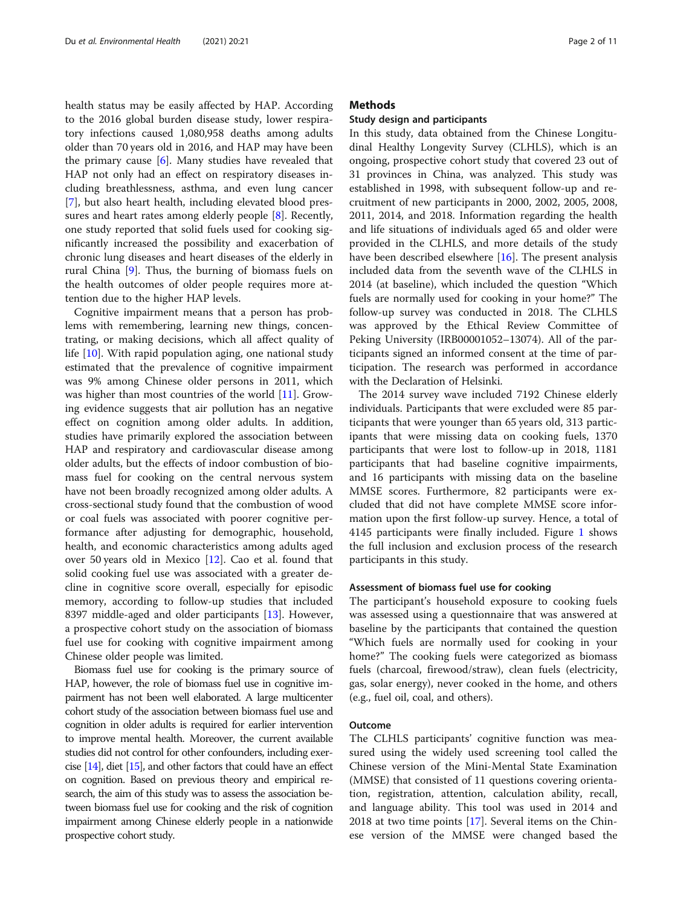health status may be easily affected by HAP. According to the 2016 global burden disease study, lower respiratory infections caused 1,080,958 deaths among adults older than 70 years old in 2016, and HAP may have been the primary cause [[6\]](#page-10-0). Many studies have revealed that HAP not only had an effect on respiratory diseases including breathlessness, asthma, and even lung cancer [[7\]](#page-10-0), but also heart health, including elevated blood pressures and heart rates among elderly people [\[8](#page-10-0)]. Recently, one study reported that solid fuels used for cooking significantly increased the possibility and exacerbation of chronic lung diseases and heart diseases of the elderly in rural China [\[9](#page-10-0)]. Thus, the burning of biomass fuels on the health outcomes of older people requires more attention due to the higher HAP levels.

Cognitive impairment means that a person has problems with remembering, learning new things, concentrating, or making decisions, which all affect quality of life [\[10\]](#page-10-0). With rapid population aging, one national study estimated that the prevalence of cognitive impairment was 9% among Chinese older persons in 2011, which was higher than most countries of the world [[11\]](#page-10-0). Growing evidence suggests that air pollution has an negative effect on cognition among older adults. In addition, studies have primarily explored the association between HAP and respiratory and cardiovascular disease among older adults, but the effects of indoor combustion of biomass fuel for cooking on the central nervous system have not been broadly recognized among older adults. A cross-sectional study found that the combustion of wood or coal fuels was associated with poorer cognitive performance after adjusting for demographic, household, health, and economic characteristics among adults aged over 50 years old in Mexico [[12\]](#page-10-0). Cao et al. found that solid cooking fuel use was associated with a greater decline in cognitive score overall, especially for episodic memory, according to follow-up studies that included 8397 middle-aged and older participants [[13\]](#page-10-0). However, a prospective cohort study on the association of biomass fuel use for cooking with cognitive impairment among Chinese older people was limited.

Biomass fuel use for cooking is the primary source of HAP, however, the role of biomass fuel use in cognitive impairment has not been well elaborated. A large multicenter cohort study of the association between biomass fuel use and cognition in older adults is required for earlier intervention to improve mental health. Moreover, the current available studies did not control for other confounders, including exercise [\[14](#page-10-0)], diet [\[15\]](#page-10-0), and other factors that could have an effect on cognition. Based on previous theory and empirical research, the aim of this study was to assess the association between biomass fuel use for cooking and the risk of cognition impairment among Chinese elderly people in a nationwide prospective cohort study.

#### **Methods**

#### Study design and participants

In this study, data obtained from the Chinese Longitudinal Healthy Longevity Survey (CLHLS), which is an ongoing, prospective cohort study that covered 23 out of 31 provinces in China, was analyzed. This study was established in 1998, with subsequent follow-up and recruitment of new participants in 2000, 2002, 2005, 2008, 2011, 2014, and 2018. Information regarding the health and life situations of individuals aged 65 and older were provided in the CLHLS, and more details of the study have been described elsewhere [[16](#page-10-0)]. The present analysis included data from the seventh wave of the CLHLS in 2014 (at baseline), which included the question "Which fuels are normally used for cooking in your home?" The follow-up survey was conducted in 2018. The CLHLS was approved by the Ethical Review Committee of Peking University (IRB00001052–13074). All of the participants signed an informed consent at the time of participation. The research was performed in accordance with the Declaration of Helsinki.

The 2014 survey wave included 7192 Chinese elderly individuals. Participants that were excluded were 85 participants that were younger than 65 years old, 313 participants that were missing data on cooking fuels, 1370 participants that were lost to follow-up in 2018, 1181 participants that had baseline cognitive impairments, and 16 participants with missing data on the baseline MMSE scores. Furthermore, 82 participants were excluded that did not have complete MMSE score information upon the first follow-up survey. Hence, a total of 4145 participants were finally included. Figure [1](#page-2-0) shows the full inclusion and exclusion process of the research participants in this study.

#### Assessment of biomass fuel use for cooking

The participant's household exposure to cooking fuels was assessed using a questionnaire that was answered at baseline by the participants that contained the question "Which fuels are normally used for cooking in your home?" The cooking fuels were categorized as biomass fuels (charcoal, firewood/straw), clean fuels (electricity, gas, solar energy), never cooked in the home, and others (e.g., fuel oil, coal, and others).

#### Outcome

The CLHLS participants' cognitive function was measured using the widely used screening tool called the Chinese version of the Mini-Mental State Examination (MMSE) that consisted of 11 questions covering orientation, registration, attention, calculation ability, recall, and language ability. This tool was used in 2014 and 2018 at two time points [[17](#page-10-0)]. Several items on the Chinese version of the MMSE were changed based the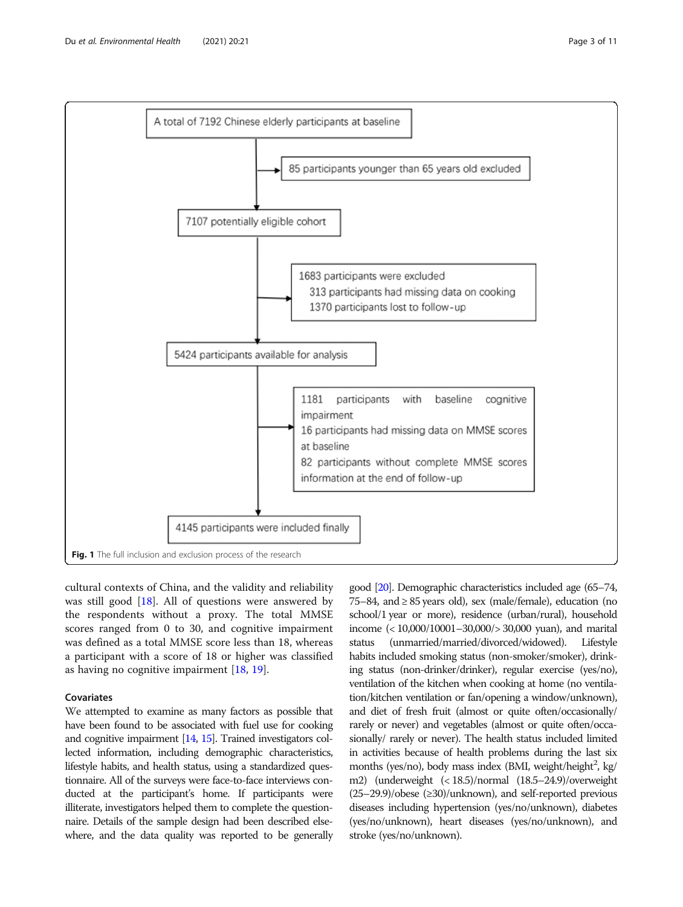<span id="page-2-0"></span>

cultural contexts of China, and the validity and reliability was still good [[18\]](#page-10-0). All of questions were answered by the respondents without a proxy. The total MMSE scores ranged from 0 to 30, and cognitive impairment was defined as a total MMSE score less than 18, whereas a participant with a score of 18 or higher was classified as having no cognitive impairment [[18,](#page-10-0) [19](#page-10-0)].

#### Covariates

We attempted to examine as many factors as possible that have been found to be associated with fuel use for cooking and cognitive impairment [\[14,](#page-10-0) [15\]](#page-10-0). Trained investigators collected information, including demographic characteristics, lifestyle habits, and health status, using a standardized questionnaire. All of the surveys were face-to-face interviews conducted at the participant's home. If participants were illiterate, investigators helped them to complete the questionnaire. Details of the sample design had been described elsewhere, and the data quality was reported to be generally

good [[20\]](#page-10-0). Demographic characteristics included age (65–74, 75–84, and ≥ 85 years old), sex (male/female), education (no school/1 year or more), residence (urban/rural), household income (< 10,000/10001–30,000/> 30,000 yuan), and marital status (unmarried/married/divorced/widowed). Lifestyle habits included smoking status (non-smoker/smoker), drinking status (non-drinker/drinker), regular exercise (yes/no), ventilation of the kitchen when cooking at home (no ventilation/kitchen ventilation or fan/opening a window/unknown), and diet of fresh fruit (almost or quite often/occasionally/ rarely or never) and vegetables (almost or quite often/occasionally/ rarely or never). The health status included limited in activities because of health problems during the last six months (yes/no), body mass index (BMI, weight/height<sup>2</sup>, kg/ m2) (underweight (< 18.5)/normal (18.5–24.9)/overweight (25–29.9)/obese (≥30)/unknown), and self-reported previous diseases including hypertension (yes/no/unknown), diabetes (yes/no/unknown), heart diseases (yes/no/unknown), and stroke (yes/no/unknown).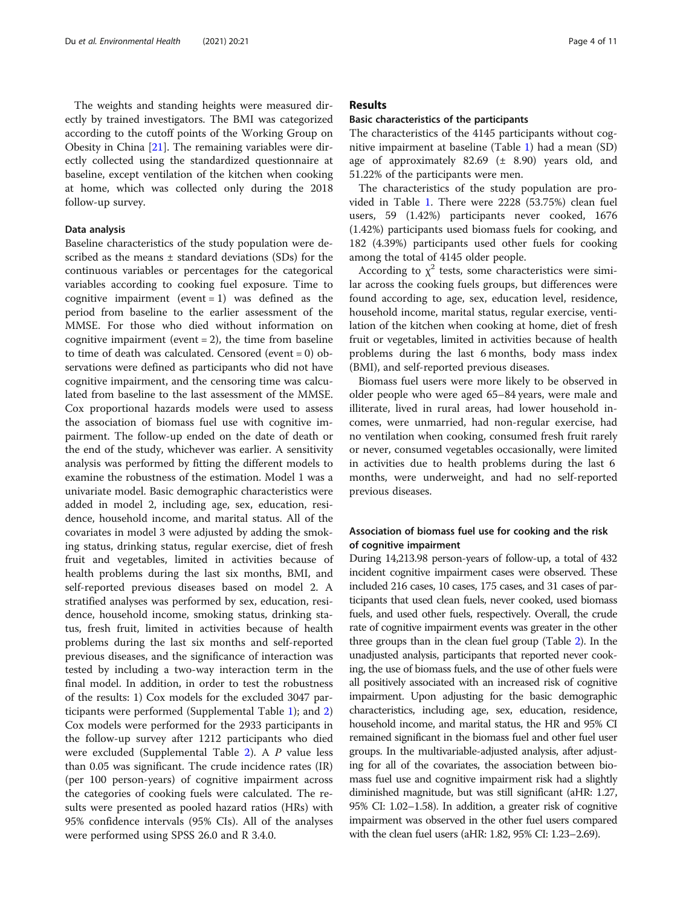The weights and standing heights were measured directly by trained investigators. The BMI was categorized according to the cutoff points of the Working Group on Obesity in China [[21](#page-10-0)]. The remaining variables were directly collected using the standardized questionnaire at baseline, except ventilation of the kitchen when cooking at home, which was collected only during the 2018 follow-up survey.

#### Data analysis

Baseline characteristics of the study population were described as the means  $\pm$  standard deviations (SDs) for the continuous variables or percentages for the categorical variables according to cooking fuel exposure. Time to cognitive impairment (event = 1) was defined as the period from baseline to the earlier assessment of the MMSE. For those who died without information on cognitive impairment (event  $= 2$ ), the time from baseline to time of death was calculated. Censored (event = 0) observations were defined as participants who did not have cognitive impairment, and the censoring time was calculated from baseline to the last assessment of the MMSE. Cox proportional hazards models were used to assess the association of biomass fuel use with cognitive impairment. The follow-up ended on the date of death or the end of the study, whichever was earlier. A sensitivity analysis was performed by fitting the different models to examine the robustness of the estimation. Model 1 was a univariate model. Basic demographic characteristics were added in model 2, including age, sex, education, residence, household income, and marital status. All of the covariates in model 3 were adjusted by adding the smoking status, drinking status, regular exercise, diet of fresh fruit and vegetables, limited in activities because of health problems during the last six months, BMI, and self-reported previous diseases based on model 2. A stratified analyses was performed by sex, education, residence, household income, smoking status, drinking status, fresh fruit, limited in activities because of health problems during the last six months and self-reported previous diseases, and the significance of interaction was tested by including a two-way interaction term in the final model. In addition, in order to test the robustness of the results: 1) Cox models for the excluded 3047 participants were performed (Supplemental Table [1\)](#page-9-0); and [2](#page-9-0)) Cox models were performed for the 2933 participants in the follow-up survey after 1212 participants who died were excluded (Supplemental Table [2](#page-9-0)). A P value less than 0.05 was significant. The crude incidence rates (IR) (per 100 person-years) of cognitive impairment across the categories of cooking fuels were calculated. The results were presented as pooled hazard ratios (HRs) with 95% confidence intervals (95% CIs). All of the analyses were performed using SPSS 26.0 and R 3.4.0.

#### Results

#### Basic characteristics of the participants

The characteristics of the 4145 participants without cognitive impairment at baseline (Table [1](#page-4-0)) had a mean (SD) age of approximately  $82.69 \text{ } (\pm \text{ } 8.90)$  years old, and 51.22% of the participants were men.

The characteristics of the study population are provided in Table [1.](#page-4-0) There were 2228 (53.75%) clean fuel users, 59 (1.42%) participants never cooked, 1676 (1.42%) participants used biomass fuels for cooking, and 182 (4.39%) participants used other fuels for cooking among the total of 4145 older people.

According to  $\chi^2$  tests, some characteristics were similar across the cooking fuels groups, but differences were found according to age, sex, education level, residence, household income, marital status, regular exercise, ventilation of the kitchen when cooking at home, diet of fresh fruit or vegetables, limited in activities because of health problems during the last 6 months, body mass index (BMI), and self-reported previous diseases.

Biomass fuel users were more likely to be observed in older people who were aged 65–84 years, were male and illiterate, lived in rural areas, had lower household incomes, were unmarried, had non-regular exercise, had no ventilation when cooking, consumed fresh fruit rarely or never, consumed vegetables occasionally, were limited in activities due to health problems during the last 6 months, were underweight, and had no self-reported previous diseases.

#### Association of biomass fuel use for cooking and the risk of cognitive impairment

During 14,213.98 person-years of follow-up, a total of 432 incident cognitive impairment cases were observed. These included 216 cases, 10 cases, 175 cases, and 31 cases of participants that used clean fuels, never cooked, used biomass fuels, and used other fuels, respectively. Overall, the crude rate of cognitive impairment events was greater in the other three groups than in the clean fuel group (Table [2](#page-6-0)). In the unadjusted analysis, participants that reported never cooking, the use of biomass fuels, and the use of other fuels were all positively associated with an increased risk of cognitive impairment. Upon adjusting for the basic demographic characteristics, including age, sex, education, residence, household income, and marital status, the HR and 95% CI remained significant in the biomass fuel and other fuel user groups. In the multivariable-adjusted analysis, after adjusting for all of the covariates, the association between biomass fuel use and cognitive impairment risk had a slightly diminished magnitude, but was still significant (aHR: 1.27, 95% CI: 1.02–1.58). In addition, a greater risk of cognitive impairment was observed in the other fuel users compared with the clean fuel users (aHR: 1.82, 95% CI: 1.23–2.69).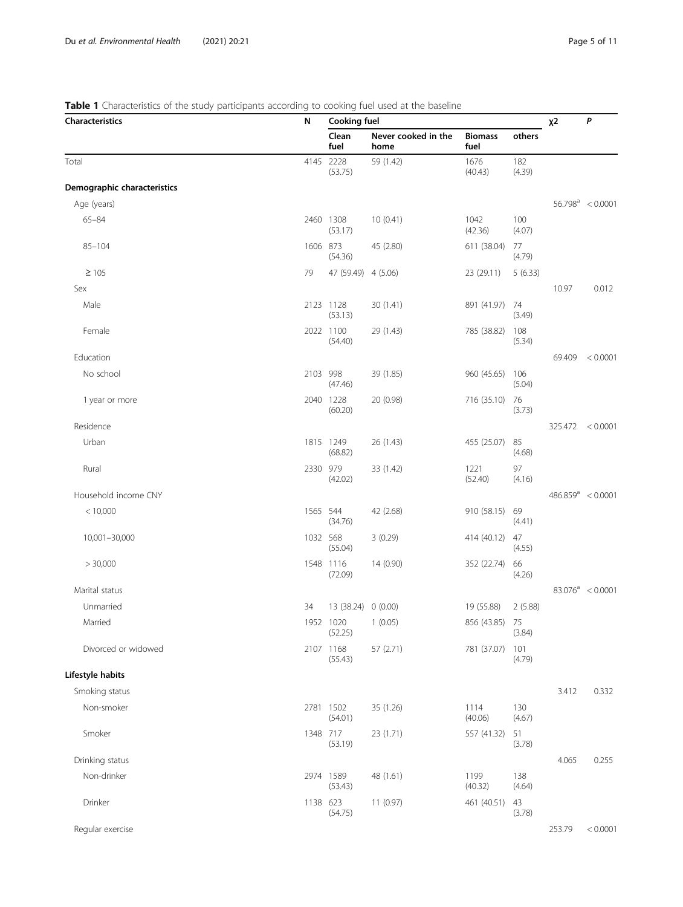#### <span id="page-4-0"></span>Table 1 Characteristics of the study participants according to cooking fuel used at the baseline

| <b>Characteristics</b>      | N        | <b>Cooking fuel</b>           |                             |                        |               | $x^2$  | P                    |
|-----------------------------|----------|-------------------------------|-----------------------------|------------------------|---------------|--------|----------------------|
|                             |          | Clean<br>fuel                 | Never cooked in the<br>home | <b>Biomass</b><br>fuel | others        |        |                      |
| Total                       |          | 4145 2228<br>(53.75)          | 59 (1.42)                   | 1676<br>(40.43)        | 182<br>(4.39) |        |                      |
| Demographic characteristics |          |                               |                             |                        |               |        |                      |
| Age (years)                 |          |                               |                             |                        |               |        | $56.798^a$ < 0.0001  |
| $65 - 84$                   |          | 2460 1308<br>(53.17)          | 10(0.41)                    | 1042<br>(42.36)        | 100<br>(4.07) |        |                      |
| $85 - 104$                  | 1606 873 | (54.36)                       | 45 (2.80)                   | 611 (38.04)            | 77<br>(4.79)  |        |                      |
| $\geq 105$                  | 79       | 47 (59.49) 4 (5.06)           |                             | 23 (29.11)             | 5(6.33)       |        |                      |
| Sex                         |          |                               |                             |                        |               | 10.97  | 0.012                |
| Male                        |          | 2123 1128<br>(53.13)          | 30 (1.41)                   | 891 (41.97)            | 74<br>(3.49)  |        |                      |
| Female                      |          | 2022 1100<br>(54.40)          | 29 (1.43)                   | 785 (38.82)            | 108<br>(5.34) |        |                      |
| Education                   |          |                               |                             |                        |               | 69.409 | < 0.0001             |
| No school                   | 2103 998 | (47.46)                       | 39 (1.85)                   | 960 (45.65)            | 106<br>(5.04) |        |                      |
| 1 year or more              |          | 2040 1228<br>(60.20)          | 20 (0.98)                   | 716 (35.10)            | 76<br>(3.73)  |        |                      |
| Residence                   |          |                               |                             |                        |               |        | 325.472 < 0.0001     |
| Urban                       |          | 1815 1249<br>(68.82)          | 26 (1.43)                   | 455 (25.07)            | 85<br>(4.68)  |        |                      |
| Rural                       | 2330 979 | (42.02)                       | 33 (1.42)                   | 1221<br>(52.40)        | 97<br>(4.16)  |        |                      |
| Household income CNY        |          |                               |                             |                        |               |        | $486.859^a < 0.0001$ |
| < 10,000                    | 1565 544 | (34.76)                       | 42 (2.68)                   | 910 (58.15)            | 69<br>(4.41)  |        |                      |
| 10,001-30,000               | 1032 568 | (55.04)                       | 3(0.29)                     | 414 (40.12)            | 47<br>(4.55)  |        |                      |
| > 30,000                    |          | 1548 1116<br>(72.09)          | 14 (0.90)                   | 352 (22.74)            | 66<br>(4.26)  |        |                      |
| Marital status              |          |                               |                             |                        |               |        | $83.076^a$ < 0.0001  |
| Unmarried                   | 34       | 13 (38.24) 0 (0.00)           |                             | 19 (55.88)             | 2(5.88)       |        |                      |
| Married                     |          | 1952 1020 1 (0.05)<br>(52.25) |                             | 856 (43.85) 75         | (3.84)        |        |                      |
| Divorced or widowed         |          | 2107 1168<br>(55.43)          | 57 (2.71)                   | 781 (37.07)            | 101<br>(4.79) |        |                      |
| Lifestyle habits            |          |                               |                             |                        |               |        |                      |
| Smoking status              |          |                               |                             |                        |               | 3.412  | 0.332                |
| Non-smoker                  |          | 2781 1502<br>(54.01)          | 35 (1.26)                   | 1114<br>(40.06)        | 130<br>(4.67) |        |                      |
| Smoker                      | 1348 717 | (53.19)                       | 23 (1.71)                   | 557 (41.32)            | 51<br>(3.78)  |        |                      |
| Drinking status             |          |                               |                             |                        |               | 4.065  | 0.255                |
| Non-drinker                 |          | 2974 1589<br>(53.43)          | 48 (1.61)                   | 1199<br>(40.32)        | 138<br>(4.64) |        |                      |
| Drinker                     | 1138 623 | (54.75)                       | 11(0.97)                    | 461 (40.51)            | 43<br>(3.78)  |        |                      |
| Regular exercise            |          |                               |                             |                        |               | 253.79 | < 0.0001             |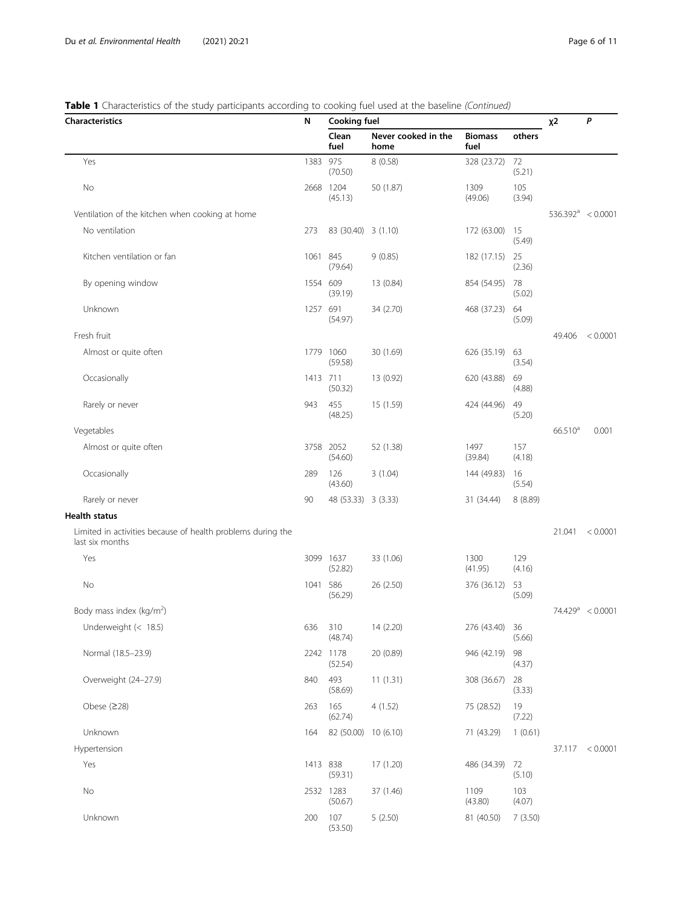#### Table 1 Characteristics of the study participants according to cooking fuel used at the baseline (Continued)

| • Characteristics of the staay participants according to cooking raci asea at the baseline (commaca)<br><b>Characteristics</b> |          | <b>Cooking fuel</b>  |                             |                        |               | $x^2$                | P                   |
|--------------------------------------------------------------------------------------------------------------------------------|----------|----------------------|-----------------------------|------------------------|---------------|----------------------|---------------------|
|                                                                                                                                | N        | Clean<br>fuel        | Never cooked in the<br>home | <b>Biomass</b><br>fuel | others        |                      |                     |
| Yes                                                                                                                            | 1383 975 | (70.50)              | 8(0.58)                     | 328 (23.72)            | 72<br>(5.21)  |                      |                     |
| No                                                                                                                             |          | 2668 1204<br>(45.13) | 50 (1.87)                   | 1309<br>(49.06)        | 105<br>(3.94) |                      |                     |
| Ventilation of the kitchen when cooking at home                                                                                |          |                      |                             |                        |               | $536.392^a < 0.0001$ |                     |
| No ventilation                                                                                                                 | 273      | 83 (30.40) 3 (1.10)  |                             | 172 (63.00)            | 15<br>(5.49)  |                      |                     |
| Kitchen ventilation or fan                                                                                                     | 1061 845 | (79.64)              | 9(0.85)                     | 182 (17.15) 25         | (2.36)        |                      |                     |
| By opening window                                                                                                              | 1554 609 | (39.19)              | 13 (0.84)                   | 854 (54.95)            | 78<br>(5.02)  |                      |                     |
| Unknown                                                                                                                        | 1257 691 | (54.97)              | 34 (2.70)                   | 468 (37.23)            | 64<br>(5.09)  |                      |                     |
| Fresh fruit                                                                                                                    |          |                      |                             |                        |               | 49.406               | < 0.0001            |
| Almost or quite often                                                                                                          |          | 1779 1060<br>(59.58) | 30 (1.69)                   | 626 (35.19)            | 63<br>(3.54)  |                      |                     |
| Occasionally                                                                                                                   | 1413 711 | (50.32)              | 13 (0.92)                   | 620 (43.88)            | 69<br>(4.88)  |                      |                     |
| Rarely or never                                                                                                                | 943      | 455<br>(48.25)       | 15 (1.59)                   | 424 (44.96)            | 49<br>(5.20)  |                      |                     |
| Vegetables                                                                                                                     |          |                      |                             |                        |               | 66.510 <sup>a</sup>  | 0.001               |
| Almost or quite often                                                                                                          |          | 3758 2052<br>(54.60) | 52 (1.38)                   | 1497<br>(39.84)        | 157<br>(4.18) |                      |                     |
| Occasionally                                                                                                                   | 289      | 126<br>(43.60)       | 3(1.04)                     | 144 (49.83)            | 16<br>(5.54)  |                      |                     |
| Rarely or never                                                                                                                | 90       | 48 (53.33) 3 (3.33)  |                             | 31 (34.44)             | 8(8.89)       |                      |                     |
| <b>Health status</b>                                                                                                           |          |                      |                             |                        |               |                      |                     |
| Limited in activities because of health problems during the<br>last six months                                                 |          |                      |                             |                        |               | 21.041               | < 0.0001            |
| Yes                                                                                                                            |          | 3099 1637<br>(52.82) | 33 (1.06)                   | 1300<br>(41.95)        | 129<br>(4.16) |                      |                     |
| No                                                                                                                             | 1041 586 | (56.29)              | 26 (2.50)                   | 376 (36.12)            | 53<br>(5.09)  |                      |                     |
| Body mass index (kg/m <sup>2</sup> )                                                                                           |          |                      |                             |                        |               |                      | $74.429^a < 0.0001$ |
| Underweight (< 18.5)                                                                                                           | 636      | 310<br>(48.74)       | 14 (2.20)                   | 276 (43.40)            | 36<br>(5.66)  |                      |                     |
| Normal (18.5-23.9)                                                                                                             |          | 2242 1178<br>(52.54) | 20 (0.89)                   | 946 (42.19)            | 98<br>(4.37)  |                      |                     |
| Overweight (24-27.9)                                                                                                           | 840      | 493<br>(58.69)       | 11(1.31)                    | 308 (36.67)            | 28<br>(3.33)  |                      |                     |
| Obese $(228)$                                                                                                                  | 263      | 165<br>(62.74)       | 4(1.52)                     | 75 (28.52)             | 19<br>(7.22)  |                      |                     |
| Unknown                                                                                                                        | 164      | 82 (50.00) 10 (6.10) |                             | 71 (43.29)             | 1(0.61)       |                      |                     |
| Hypertension                                                                                                                   |          |                      |                             |                        |               |                      | 37.117 < 0.0001     |
| Yes                                                                                                                            | 1413 838 | (59.31)              | 17 (1.20)                   | 486 (34.39)            | 72<br>(5.10)  |                      |                     |
| No                                                                                                                             |          | 2532 1283<br>(50.67) | 37 (1.46)                   | 1109<br>(43.80)        | 103<br>(4.07) |                      |                     |
| Unknown                                                                                                                        | 200      | 107<br>(53.50)       | 5(2.50)                     | 81 (40.50)             | 7(3.50)       |                      |                     |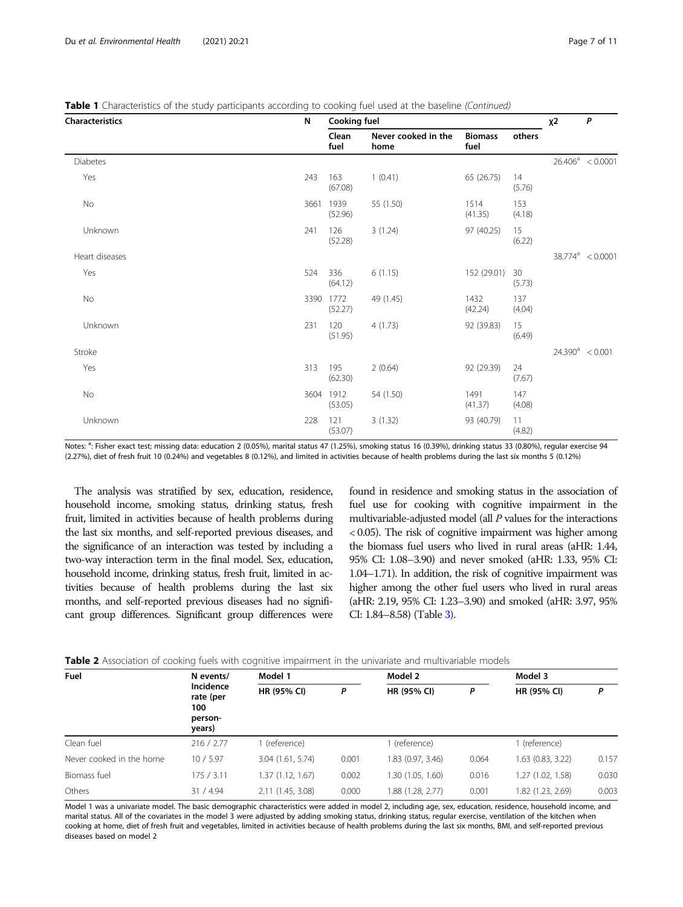<span id="page-6-0"></span>

|  |  |  | Table 1 Characteristics of the study participants according to cooking fuel used at the baseline (Continued) |
|--|--|--|--------------------------------------------------------------------------------------------------------------|
|  |  |  |                                                                                                              |

| Characteristics | N    | Cooking fuel         |                             |                        | $x^2$         | P |                     |
|-----------------|------|----------------------|-----------------------------|------------------------|---------------|---|---------------------|
|                 |      | Clean<br>fuel        | Never cooked in the<br>home | <b>Biomass</b><br>fuel | others        |   |                     |
| <b>Diabetes</b> |      |                      |                             |                        |               |   | $26.406^a$ < 0.0001 |
| Yes             | 243  | 163<br>(67.08)       | 1(0.41)                     | 65 (26.75)             | 14<br>(5.76)  |   |                     |
| No              | 3661 | 1939<br>(52.96)      | 55 (1.50)                   | 1514<br>(41.35)        | 153<br>(4.18) |   |                     |
| Unknown         | 241  | 126<br>(52.28)       | 3(1.24)                     | 97 (40.25)             | 15<br>(6.22)  |   |                     |
| Heart diseases  |      |                      |                             |                        |               |   | $38.774^a$ < 0.0001 |
| Yes             | 524  | 336<br>(64.12)       | 6(1.15)                     | 152 (29.01)            | 30<br>(5.73)  |   |                     |
| No              |      | 3390 1772<br>(52.27) | 49 (1.45)                   | 1432<br>(42.24)        | 137<br>(4.04) |   |                     |
| Unknown         | 231  | 120<br>(51.95)       | 4(1.73)                     | 92 (39.83)             | 15<br>(6.49)  |   |                     |
| Stroke          |      |                      |                             |                        |               |   | $24.390^a$ < 0.001  |
| Yes             | 313  | 195<br>(62.30)       | 2(0.64)                     | 92 (29.39)             | 24<br>(7.67)  |   |                     |
| No              |      | 3604 1912<br>(53.05) | 54 (1.50)                   | 1491<br>(41.37)        | 147<br>(4.08) |   |                     |
| Unknown         | 228  | 121<br>(53.07)       | 3(1.32)                     | 93 (40.79)             | 11<br>(4.82)  |   |                     |

Notes: <sup>a</sup>: Fisher exact test; missing data: education 2 (0.05%), marital status 47 (1.25%), smoking status 16 (0.39%), drinking status 33 (0.80%), regular exercise 94 (2.27%), diet of fresh fruit 10 (0.24%) and vegetables 8 (0.12%), and limited in activities because of health problems during the last six months 5 (0.12%)

The analysis was stratified by sex, education, residence, household income, smoking status, drinking status, fresh fruit, limited in activities because of health problems during the last six months, and self-reported previous diseases, and the significance of an interaction was tested by including a two-way interaction term in the final model. Sex, education, household income, drinking status, fresh fruit, limited in activities because of health problems during the last six months, and self-reported previous diseases had no significant group differences. Significant group differences were

found in residence and smoking status in the association of fuel use for cooking with cognitive impairment in the multivariable-adjusted model (all P values for the interactions < 0.05). The risk of cognitive impairment was higher among the biomass fuel users who lived in rural areas (aHR: 1.44, 95% CI: 1.08–3.90) and never smoked (aHR: 1.33, 95% CI: 1.04–1.71). In addition, the risk of cognitive impairment was higher among the other fuel users who lived in rural areas (aHR: 2.19, 95% CI: 1.23–3.90) and smoked (aHR: 3.97, 95% CI: 1.84–8.58) (Table [3\)](#page-8-0).

| Fuel                     | N events/                                          | Model 1           |       | Model 2           |       | Model 3           |       |  |
|--------------------------|----------------------------------------------------|-------------------|-------|-------------------|-------|-------------------|-------|--|
|                          | Incidence<br>rate (per<br>100<br>person-<br>years) | HR (95% CI)       | P     | HR (95% CI)       | Ρ     | HR (95% CI)       | P     |  |
| Clean fuel               | 216 / 2.77                                         | (reference)       |       | 1 (reference)     |       | (reference)       |       |  |
| Never cooked in the home | 10/5.97                                            | 3.04(1.61, 5.74)  | 0.001 | 1.83 (0.97, 3.46) | 0.064 | 1.63 (0.83, 3.22) | 0.157 |  |
| Biomass fuel             | 175/3.11                                           | 1.37 (1.12, 1.67) | 0.002 | 1.30(1.05, 1.60)  | 0.016 | 1.27 (1.02, 1.58) | 0.030 |  |
| Others                   | 31 / 4.94                                          | 2.11 (1.45, 3.08) | 0.000 | 1.88 (1.28, 2.77) | 0.001 | 1.82 (1.23, 2.69) | 0.003 |  |

Model 1 was a univariate model. The basic demographic characteristics were added in model 2, including age, sex, education, residence, household income, and marital status. All of the covariates in the model 3 were adjusted by adding smoking status, drinking status, regular exercise, ventilation of the kitchen when cooking at home, diet of fresh fruit and vegetables, limited in activities because of health problems during the last six months, BMI, and self-reported previous diseases based on model 2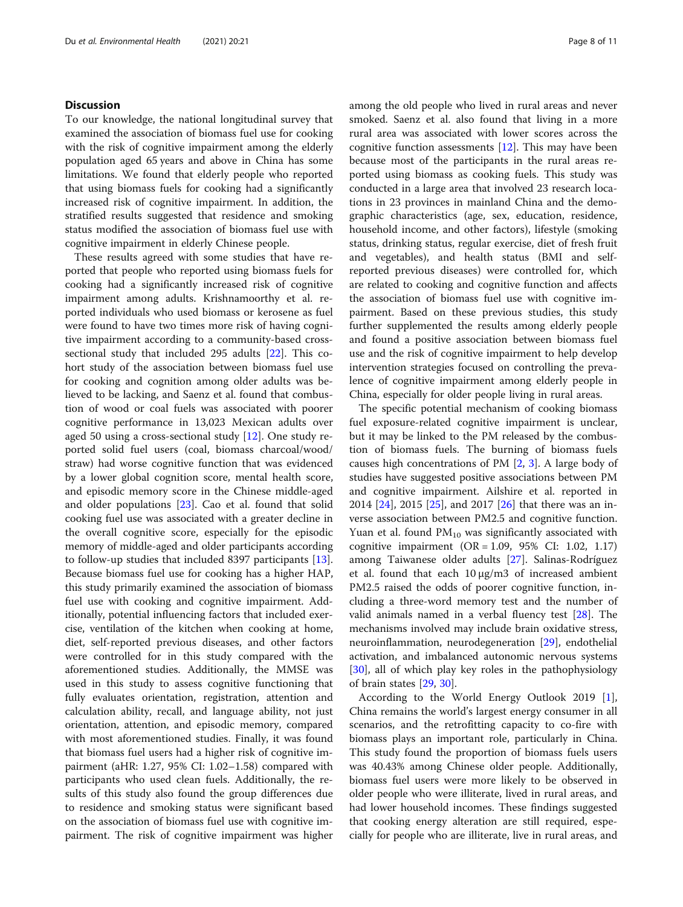#### **Discussion**

To our knowledge, the national longitudinal survey that examined the association of biomass fuel use for cooking with the risk of cognitive impairment among the elderly population aged 65 years and above in China has some limitations. We found that elderly people who reported that using biomass fuels for cooking had a significantly increased risk of cognitive impairment. In addition, the stratified results suggested that residence and smoking status modified the association of biomass fuel use with cognitive impairment in elderly Chinese people.

These results agreed with some studies that have reported that people who reported using biomass fuels for cooking had a significantly increased risk of cognitive impairment among adults. Krishnamoorthy et al. reported individuals who used biomass or kerosene as fuel were found to have two times more risk of having cognitive impairment according to a community-based crosssectional study that included 295 adults [\[22\]](#page-10-0). This cohort study of the association between biomass fuel use for cooking and cognition among older adults was believed to be lacking, and Saenz et al. found that combustion of wood or coal fuels was associated with poorer cognitive performance in 13,023 Mexican adults over aged 50 using a cross-sectional study [\[12\]](#page-10-0). One study reported solid fuel users (coal, biomass charcoal/wood/ straw) had worse cognitive function that was evidenced by a lower global cognition score, mental health score, and episodic memory score in the Chinese middle-aged and older populations [[23\]](#page-10-0). Cao et al. found that solid cooking fuel use was associated with a greater decline in the overall cognitive score, especially for the episodic memory of middle-aged and older participants according to follow-up studies that included 8397 participants [\[13](#page-10-0)]. Because biomass fuel use for cooking has a higher HAP, this study primarily examined the association of biomass fuel use with cooking and cognitive impairment. Additionally, potential influencing factors that included exercise, ventilation of the kitchen when cooking at home, diet, self-reported previous diseases, and other factors were controlled for in this study compared with the aforementioned studies. Additionally, the MMSE was used in this study to assess cognitive functioning that fully evaluates orientation, registration, attention and calculation ability, recall, and language ability, not just orientation, attention, and episodic memory, compared with most aforementioned studies. Finally, it was found that biomass fuel users had a higher risk of cognitive impairment (aHR: 1.27, 95% CI: 1.02–1.58) compared with participants who used clean fuels. Additionally, the results of this study also found the group differences due to residence and smoking status were significant based on the association of biomass fuel use with cognitive impairment. The risk of cognitive impairment was higher among the old people who lived in rural areas and never smoked. Saenz et al. also found that living in a more rural area was associated with lower scores across the cognitive function assessments  $[12]$  $[12]$ . This may have been because most of the participants in the rural areas reported using biomass as cooking fuels. This study was conducted in a large area that involved 23 research locations in 23 provinces in mainland China and the demographic characteristics (age, sex, education, residence, household income, and other factors), lifestyle (smoking status, drinking status, regular exercise, diet of fresh fruit and vegetables), and health status (BMI and selfreported previous diseases) were controlled for, which are related to cooking and cognitive function and affects the association of biomass fuel use with cognitive impairment. Based on these previous studies, this study further supplemented the results among elderly people and found a positive association between biomass fuel use and the risk of cognitive impairment to help develop intervention strategies focused on controlling the prevalence of cognitive impairment among elderly people in China, especially for older people living in rural areas.

The specific potential mechanism of cooking biomass fuel exposure-related cognitive impairment is unclear, but it may be linked to the PM released by the combustion of biomass fuels. The burning of biomass fuels causes high concentrations of PM [[2,](#page-10-0) [3](#page-10-0)]. A large body of studies have suggested positive associations between PM and cognitive impairment. Ailshire et al. reported in 2014 [[24](#page-10-0)], 2015 [[25](#page-10-0)], and 2017 [[26\]](#page-10-0) that there was an inverse association between PM2.5 and cognitive function. Yuan et al. found  $PM_{10}$  was significantly associated with cognitive impairment  $(OR = 1.09, 95\% \text{ CI: } 1.02, 1.17)$ among Taiwanese older adults [\[27\]](#page-10-0). Salinas-Rodríguez et al. found that each 10 μg/m3 of increased ambient PM2.5 raised the odds of poorer cognitive function, including a three-word memory test and the number of valid animals named in a verbal fluency test [[28\]](#page-10-0). The mechanisms involved may include brain oxidative stress, neuroinflammation, neurodegeneration [\[29\]](#page-10-0), endothelial activation, and imbalanced autonomic nervous systems [[30\]](#page-10-0), all of which play key roles in the pathophysiology of brain states [[29](#page-10-0), [30](#page-10-0)].

According to the World Energy Outlook 2019 [\[1](#page-10-0)], China remains the world's largest energy consumer in all scenarios, and the retrofitting capacity to co-fire with biomass plays an important role, particularly in China. This study found the proportion of biomass fuels users was 40.43% among Chinese older people. Additionally, biomass fuel users were more likely to be observed in older people who were illiterate, lived in rural areas, and had lower household incomes. These findings suggested that cooking energy alteration are still required, especially for people who are illiterate, live in rural areas, and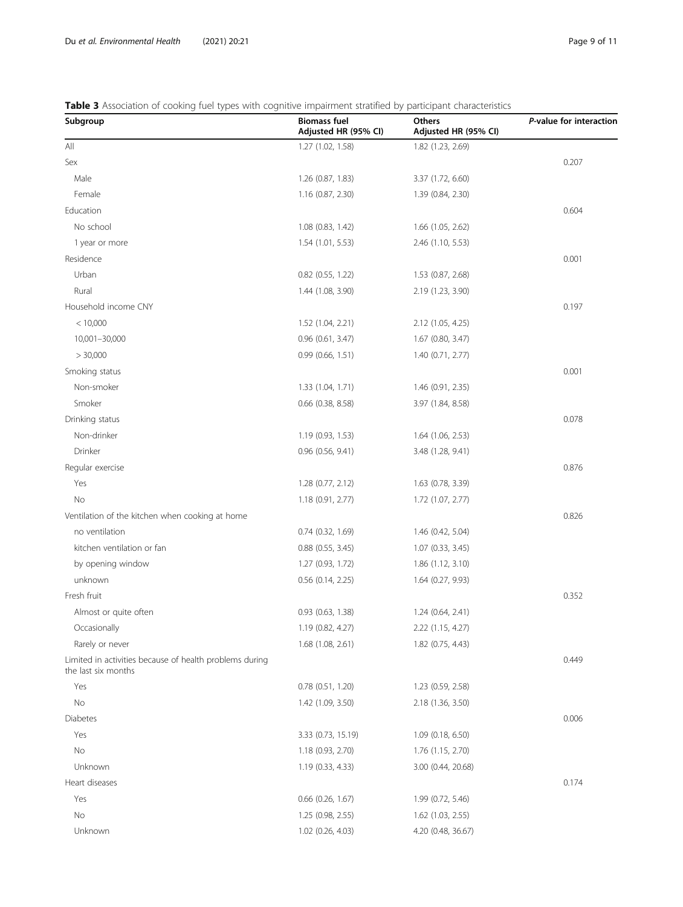#### <span id="page-8-0"></span>Table 3 Association of cooking fuel types with cognitive impairment stratified by participant characteristics

| Subgroup                                                                       | <b>Biomass fuel</b><br>Adjusted HR (95% CI) | Others<br>Adjusted HR (95% CI) | P-value for interaction |
|--------------------------------------------------------------------------------|---------------------------------------------|--------------------------------|-------------------------|
| All                                                                            | 1.27 (1.02, 1.58)                           | 1.82 (1.23, 2.69)              |                         |
| Sex                                                                            |                                             |                                | 0.207                   |
| Male                                                                           | 1.26 (0.87, 1.83)                           | 3.37 (1.72, 6.60)              |                         |
| Female                                                                         | 1.16 (0.87, 2.30)                           | 1.39 (0.84, 2.30)              |                         |
| Education                                                                      |                                             |                                | 0.604                   |
| No school                                                                      | 1.08 (0.83, 1.42)                           | 1.66 (1.05, 2.62)              |                         |
| 1 year or more                                                                 | 1.54(1.01, 5.53)                            | 2.46 (1.10, 5.53)              |                         |
| Residence                                                                      |                                             |                                | 0.001                   |
| Urban                                                                          | $0.82$ (0.55, 1.22)                         | 1.53 (0.87, 2.68)              |                         |
| Rural                                                                          | 1.44 (1.08, 3.90)                           | 2.19 (1.23, 3.90)              |                         |
| Household income CNY                                                           |                                             |                                | 0.197                   |
| < 10,000                                                                       | 1.52 (1.04, 2.21)                           | 2.12 (1.05, 4.25)              |                         |
| 10,001-30,000                                                                  | $0.96$ $(0.61, 3.47)$                       | 1.67 (0.80, 3.47)              |                         |
| > 30,000                                                                       | 0.99(0.66, 1.51)                            | 1.40 (0.71, 2.77)              |                         |
| Smoking status                                                                 |                                             |                                | 0.001                   |
| Non-smoker                                                                     | 1.33 (1.04, 1.71)                           | 1.46 (0.91, 2.35)              |                         |
| Smoker                                                                         | $0.66$ $(0.38, 8.58)$                       | 3.97 (1.84, 8.58)              |                         |
| Drinking status                                                                |                                             |                                | 0.078                   |
| Non-drinker                                                                    | 1.19 (0.93, 1.53)                           | 1.64 (1.06, 2.53)              |                         |
| Drinker                                                                        | $0.96$ (0.56, 9.41)                         | 3.48 (1.28, 9.41)              |                         |
| Regular exercise                                                               |                                             |                                | 0.876                   |
| Yes                                                                            | 1.28 (0.77, 2.12)                           | 1.63 (0.78, 3.39)              |                         |
| No                                                                             | 1.18 (0.91, 2.77)                           | 1.72 (1.07, 2.77)              |                         |
| Ventilation of the kitchen when cooking at home                                |                                             |                                | 0.826                   |
| no ventilation                                                                 | $0.74$ $(0.32, 1.69)$                       | 1.46 (0.42, 5.04)              |                         |
| kitchen ventilation or fan                                                     | $0.88$ $(0.55, 3.45)$                       | 1.07(0.33, 3.45)               |                         |
| by opening window                                                              | 1.27 (0.93, 1.72)                           | 1.86(1.12, 3.10)               |                         |
| unknown                                                                        | $0.56$ (0.14, 2.25)                         | 1.64 (0.27, 9.93)              |                         |
| Fresh fruit                                                                    |                                             |                                | 0.352                   |
| Almost or quite often                                                          | $0.93$ $(0.63, 1.38)$                       | 1.24(0.64, 2.41)               |                         |
| Occasionally                                                                   | 1.19 (0.82, 4.27)                           | 2.22 (1.15, 4.27)              |                         |
| Rarely or never                                                                | 1.68(1.08, 2.61)                            | $1.82$ (0.75, 4.43)            |                         |
| Limited in activities because of health problems during<br>the last six months |                                             |                                | 0.449                   |
| Yes                                                                            | $0.78$ $(0.51, 1.20)$                       | 1.23 (0.59, 2.58)              |                         |
| No                                                                             | 1.42 (1.09, 3.50)                           | 2.18 (1.36, 3.50)              |                         |
| Diabetes                                                                       |                                             |                                | 0.006                   |
| Yes                                                                            | 3.33 (0.73, 15.19)                          | 1.09 (0.18, 6.50)              |                         |
| No                                                                             | 1.18 (0.93, 2.70)                           | 1.76 (1.15, 2.70)              |                         |
| Unknown                                                                        | 1.19 (0.33, 4.33)                           | 3.00 (0.44, 20.68)             |                         |
| Heart diseases                                                                 |                                             |                                | 0.174                   |
| Yes                                                                            | $0.66$ $(0.26, 1.67)$                       | 1.99 (0.72, 5.46)              |                         |
| No                                                                             | 1.25 (0.98, 2.55)                           | 1.62 (1.03, 2.55)              |                         |
| Unknown                                                                        | 1.02 (0.26, 4.03)                           | 4.20 (0.48, 36.67)             |                         |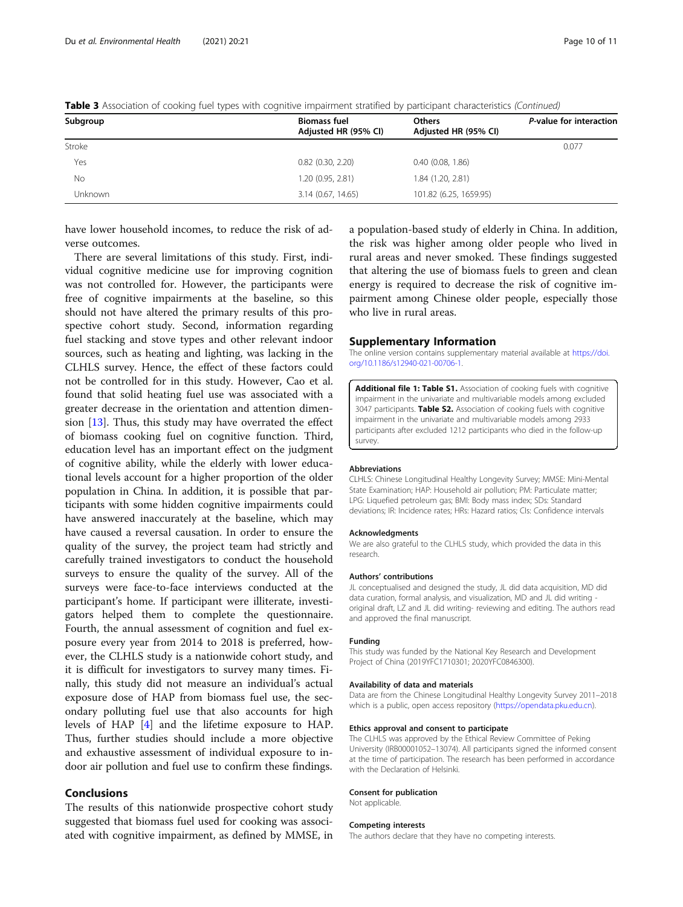| Subgroup       | <b>Biomass fuel</b><br>Adjusted HR (95% CI) | <b>Others</b><br>Adjusted HR (95% CI) | P-value for interaction |
|----------------|---------------------------------------------|---------------------------------------|-------------------------|
| Stroke         |                                             |                                       | 0.077                   |
| Yes            | $0.82$ (0.30, 2.20)                         | $0.40$ $(0.08, 1.86)$                 |                         |
| No             | 1.20 (0.95, 2.81)                           | 1.84 (1.20, 2.81)                     |                         |
| <b>Unknown</b> | 3.14 (0.67, 14.65)                          | 101.82 (6.25, 1659.95)                |                         |

<span id="page-9-0"></span>Table 3 Association of cooking fuel types with cognitive impairment stratified by participant characteristics (Continued)

have lower household incomes, to reduce the risk of adverse outcomes.

There are several limitations of this study. First, individual cognitive medicine use for improving cognition was not controlled for. However, the participants were free of cognitive impairments at the baseline, so this should not have altered the primary results of this prospective cohort study. Second, information regarding fuel stacking and stove types and other relevant indoor sources, such as heating and lighting, was lacking in the CLHLS survey. Hence, the effect of these factors could not be controlled for in this study. However, Cao et al. found that solid heating fuel use was associated with a greater decrease in the orientation and attention dimension [\[13\]](#page-10-0). Thus, this study may have overrated the effect of biomass cooking fuel on cognitive function. Third, education level has an important effect on the judgment of cognitive ability, while the elderly with lower educational levels account for a higher proportion of the older population in China. In addition, it is possible that participants with some hidden cognitive impairments could have answered inaccurately at the baseline, which may have caused a reversal causation. In order to ensure the quality of the survey, the project team had strictly and carefully trained investigators to conduct the household surveys to ensure the quality of the survey. All of the surveys were face-to-face interviews conducted at the participant's home. If participant were illiterate, investigators helped them to complete the questionnaire. Fourth, the annual assessment of cognition and fuel exposure every year from 2014 to 2018 is preferred, however, the CLHLS study is a nationwide cohort study, and it is difficult for investigators to survey many times. Finally, this study did not measure an individual's actual exposure dose of HAP from biomass fuel use, the secondary polluting fuel use that also accounts for high levels of HAP [[4\]](#page-10-0) and the lifetime exposure to HAP. Thus, further studies should include a more objective and exhaustive assessment of individual exposure to indoor air pollution and fuel use to confirm these findings.

#### Conclusions

The results of this nationwide prospective cohort study suggested that biomass fuel used for cooking was associated with cognitive impairment, as defined by MMSE, in a population-based study of elderly in China. In addition, the risk was higher among older people who lived in rural areas and never smoked. These findings suggested that altering the use of biomass fuels to green and clean energy is required to decrease the risk of cognitive impairment among Chinese older people, especially those who live in rural areas.

#### Supplementary Information

The online version contains supplementary material available at [https://doi.](https://doi.org/10.1186/s12940-021-00706-1) [org/10.1186/s12940-021-00706-1.](https://doi.org/10.1186/s12940-021-00706-1)

Additional file 1: Table S1. Association of cooking fuels with cognitive impairment in the univariate and multivariable models among excluded 3047 participants. Table S2. Association of cooking fuels with cognitive impairment in the univariate and multivariable models among 2933 participants after excluded 1212 participants who died in the follow-up survey.

#### Abbreviations

CLHLS: Chinese Longitudinal Healthy Longevity Survey; MMSE: Mini-Mental State Examination; HAP: Household air pollution; PM: Particulate matter; LPG: Liquefied petroleum gas; BMI: Body mass index; SDs: Standard deviations; IR: Incidence rates; HRs: Hazard ratios; CIs: Confidence intervals

#### Acknowledgments

We are also grateful to the CLHLS study, which provided the data in this research.

#### Authors' contributions

JL conceptualised and designed the study, JL did data acquisition, MD did data curation, formal analysis, and visualization, MD and JL did writing original draft, LZ and JL did writing- reviewing and editing. The authors read and approved the final manuscript.

#### Funding

This study was funded by the National Key Research and Development Project of China (2019YFC1710301; 2020YFC0846300).

#### Availability of data and materials

Data are from the Chinese Longitudinal Healthy Longevity Survey 2011–2018 which is a public, open access repository ([https://opendata.pku.edu.cn\)](https://opendata.pku.edu.cn).

#### Ethics approval and consent to participate

The CLHLS was approved by the Ethical Review Committee of Peking University (IRB00001052–13074). All participants signed the informed consent at the time of participation. The research has been performed in accordance with the Declaration of Helsinki.

#### Consent for publication

Not applicable.

#### Competing interests

The authors declare that they have no competing interests.